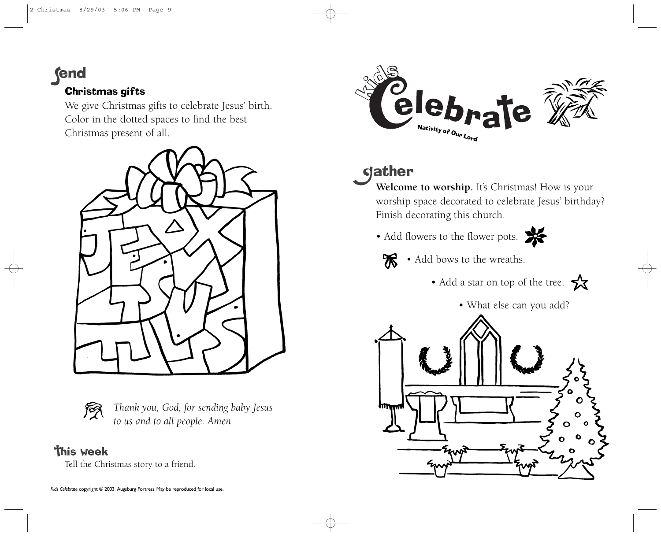**fend** 

## Christmas gifts

We give Christmas gifts to celebrate Jesus' birth. Color in the dotted spaces to find the best Christmas present of all.





*Thank you, God, for sending baby Jesus to us and to all people. Amen*

## **This week**

Tell the Christmas story to a friend.



## **gather**

Welcome to worship. It's Christmas! How is your worship space decorated to celebrate Jesus' birthday? Finish decorating this church.

• Add flowers to the flower pots.





 $\mathcal{R}$  • Add bows to the wreaths.

• Add a star on top of the tree.



• What else can you add?